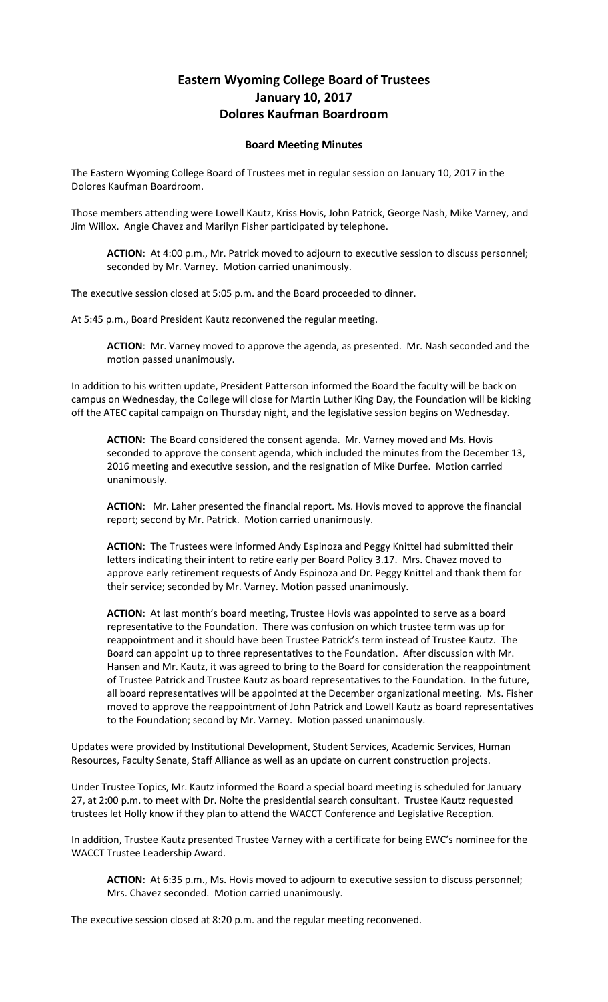## **Eastern Wyoming College Board of Trustees January 10, 2017 Dolores Kaufman Boardroom**

## **Board Meeting Minutes**

The Eastern Wyoming College Board of Trustees met in regular session on January 10, 2017 in the Dolores Kaufman Boardroom.

Those members attending were Lowell Kautz, Kriss Hovis, John Patrick, George Nash, Mike Varney, and Jim Willox. Angie Chavez and Marilyn Fisher participated by telephone.

**ACTION**: At 4:00 p.m., Mr. Patrick moved to adjourn to executive session to discuss personnel; seconded by Mr. Varney. Motion carried unanimously.

The executive session closed at 5:05 p.m. and the Board proceeded to dinner.

At 5:45 p.m., Board President Kautz reconvened the regular meeting.

**ACTION**: Mr. Varney moved to approve the agenda, as presented. Mr. Nash seconded and the motion passed unanimously.

In addition to his written update, President Patterson informed the Board the faculty will be back on campus on Wednesday, the College will close for Martin Luther King Day, the Foundation will be kicking off the ATEC capital campaign on Thursday night, and the legislative session begins on Wednesday.

**ACTION**: The Board considered the consent agenda. Mr. Varney moved and Ms. Hovis seconded to approve the consent agenda, which included the minutes from the December 13, 2016 meeting and executive session, and the resignation of Mike Durfee. Motion carried unanimously.

**ACTION**: Mr. Laher presented the financial report. Ms. Hovis moved to approve the financial report; second by Mr. Patrick. Motion carried unanimously.

**ACTION**: The Trustees were informed Andy Espinoza and Peggy Knittel had submitted their letters indicating their intent to retire early per Board Policy 3.17. Mrs. Chavez moved to approve early retirement requests of Andy Espinoza and Dr. Peggy Knittel and thank them for their service; seconded by Mr. Varney. Motion passed unanimously.

**ACTION**: At last month's board meeting, Trustee Hovis was appointed to serve as a board representative to the Foundation. There was confusion on which trustee term was up for reappointment and it should have been Trustee Patrick's term instead of Trustee Kautz. The Board can appoint up to three representatives to the Foundation. After discussion with Mr. Hansen and Mr. Kautz, it was agreed to bring to the Board for consideration the reappointment of Trustee Patrick and Trustee Kautz as board representatives to the Foundation. In the future, all board representatives will be appointed at the December organizational meeting. Ms. Fisher moved to approve the reappointment of John Patrick and Lowell Kautz as board representatives to the Foundation; second by Mr. Varney. Motion passed unanimously.

Updates were provided by Institutional Development, Student Services, Academic Services, Human Resources, Faculty Senate, Staff Alliance as well as an update on current construction projects.

Under Trustee Topics, Mr. Kautz informed the Board a special board meeting is scheduled for January 27, at 2:00 p.m. to meet with Dr. Nolte the presidential search consultant. Trustee Kautz requested trustees let Holly know if they plan to attend the WACCT Conference and Legislative Reception.

In addition, Trustee Kautz presented Trustee Varney with a certificate for being EWC's nominee for the WACCT Trustee Leadership Award.

**ACTION**: At 6:35 p.m., Ms. Hovis moved to adjourn to executive session to discuss personnel; Mrs. Chavez seconded. Motion carried unanimously.

The executive session closed at 8:20 p.m. and the regular meeting reconvened.